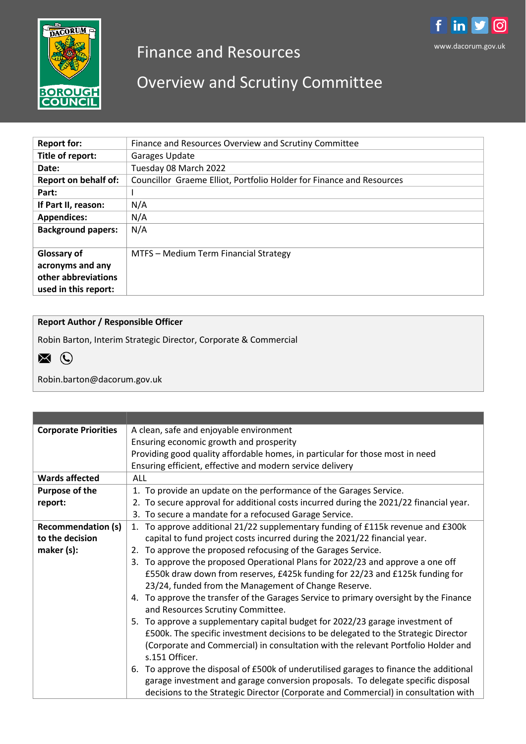

# Finance and Resources

# Overview and Scrutiny Committee

| <b>Report for:</b>          | Finance and Resources Overview and Scrutiny Committee                |  |  |
|-----------------------------|----------------------------------------------------------------------|--|--|
| Title of report:            | Garages Update                                                       |  |  |
| Date:                       | Tuesday 08 March 2022                                                |  |  |
| <b>Report on behalf of:</b> | Councillor Graeme Elliot, Portfolio Holder for Finance and Resources |  |  |
| Part:                       |                                                                      |  |  |
| If Part II, reason:         | N/A                                                                  |  |  |
| <b>Appendices:</b>          | N/A                                                                  |  |  |
| <b>Background papers:</b>   | N/A                                                                  |  |  |
| <b>Glossary of</b>          | MTFS - Medium Term Financial Strategy                                |  |  |
| acronyms and any            |                                                                      |  |  |
| other abbreviations         |                                                                      |  |  |
| used in this report:        |                                                                      |  |  |
|                             |                                                                      |  |  |

## **Report Author / Responsible Officer**

Robin Barton, Interim Strategic Director, Corporate & Commercial



Robin.barton@dacorum.gov.uk

| <b>Corporate Priorities</b> | A clean, safe and enjoyable environment                                                                                                                                                                                                                           |  |  |  |
|-----------------------------|-------------------------------------------------------------------------------------------------------------------------------------------------------------------------------------------------------------------------------------------------------------------|--|--|--|
|                             | Ensuring economic growth and prosperity                                                                                                                                                                                                                           |  |  |  |
|                             | Providing good quality affordable homes, in particular for those most in need                                                                                                                                                                                     |  |  |  |
|                             | Ensuring efficient, effective and modern service delivery                                                                                                                                                                                                         |  |  |  |
| <b>Wards affected</b>       | <b>ALL</b>                                                                                                                                                                                                                                                        |  |  |  |
| <b>Purpose of the</b>       | 1. To provide an update on the performance of the Garages Service.                                                                                                                                                                                                |  |  |  |
| report:                     | 2. To secure approval for additional costs incurred during the 2021/22 financial year.                                                                                                                                                                            |  |  |  |
|                             | 3. To secure a mandate for a refocused Garage Service.                                                                                                                                                                                                            |  |  |  |
| <b>Recommendation (s)</b>   | 1. To approve additional 21/22 supplementary funding of £115k revenue and £300k                                                                                                                                                                                   |  |  |  |
| to the decision             | capital to fund project costs incurred during the 2021/22 financial year.                                                                                                                                                                                         |  |  |  |
| maker $(s)$ :               | To approve the proposed refocusing of the Garages Service.<br>2.                                                                                                                                                                                                  |  |  |  |
|                             | To approve the proposed Operational Plans for 2022/23 and approve a one off<br>3.                                                                                                                                                                                 |  |  |  |
|                             | £550k draw down from reserves, £425k funding for 22/23 and £125k funding for                                                                                                                                                                                      |  |  |  |
|                             | 23/24, funded from the Management of Change Reserve.                                                                                                                                                                                                              |  |  |  |
|                             | 4. To approve the transfer of the Garages Service to primary oversight by the Finance<br>and Resources Scrutiny Committee.                                                                                                                                        |  |  |  |
|                             | To approve a supplementary capital budget for 2022/23 garage investment of<br>5.                                                                                                                                                                                  |  |  |  |
|                             | £500k. The specific investment decisions to be delegated to the Strategic Director                                                                                                                                                                                |  |  |  |
|                             | (Corporate and Commercial) in consultation with the relevant Portfolio Holder and<br>s.151 Officer.                                                                                                                                                               |  |  |  |
|                             | 6. To approve the disposal of £500k of underutilised garages to finance the additional<br>garage investment and garage conversion proposals. To delegate specific disposal<br>decisions to the Strategic Director (Corporate and Commercial) in consultation with |  |  |  |

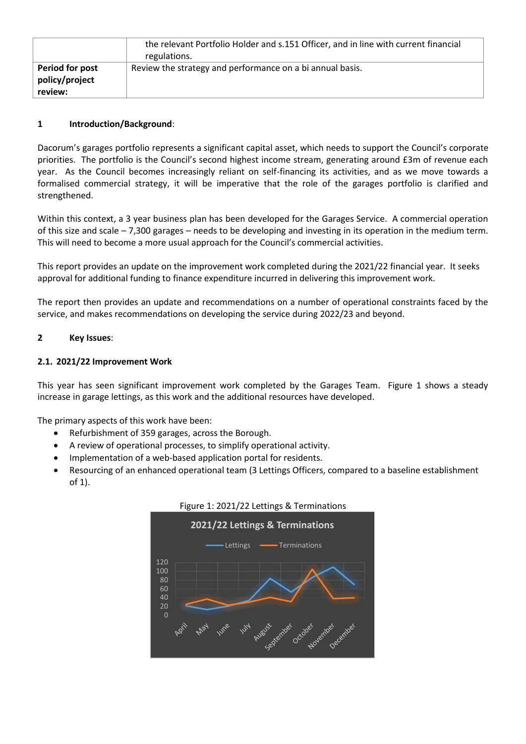|                                              | the relevant Portfolio Holder and s.151 Officer, and in line with current financial<br>regulations. |
|----------------------------------------------|-----------------------------------------------------------------------------------------------------|
| Period for post<br>policy/project<br>review: | Review the strategy and performance on a bi annual basis.                                           |

## **1 Introduction/Background**:

Dacorum's garages portfolio represents a significant capital asset, which needs to support the Council's corporate priorities. The portfolio is the Council's second highest income stream, generating around £3m of revenue each year. As the Council becomes increasingly reliant on self-financing its activities, and as we move towards a formalised commercial strategy, it will be imperative that the role of the garages portfolio is clarified and strengthened.

Within this context, a 3 year business plan has been developed for the Garages Service. A commercial operation of this size and scale – 7,300 garages – needs to be developing and investing in its operation in the medium term. This will need to become a more usual approach for the Council's commercial activities.

This report provides an update on the improvement work completed during the 2021/22 financial year. It seeks approval for additional funding to finance expenditure incurred in delivering this improvement work.

The report then provides an update and recommendations on a number of operational constraints faced by the service, and makes recommendations on developing the service during 2022/23 and beyond.

## **2 Key Issues**:

## **2.1. 2021/22 Improvement Work**

This year has seen significant improvement work completed by the Garages Team. Figure 1 shows a steady increase in garage lettings, as this work and the additional resources have developed.

The primary aspects of this work have been:

- Refurbishment of 359 garages, across the Borough.
- A review of operational processes, to simplify operational activity.
- Implementation of a web-based application portal for residents.
- Resourcing of an enhanced operational team (3 Lettings Officers, compared to a baseline establishment of 1).



## Figure 1: 2021/22 Lettings & Terminations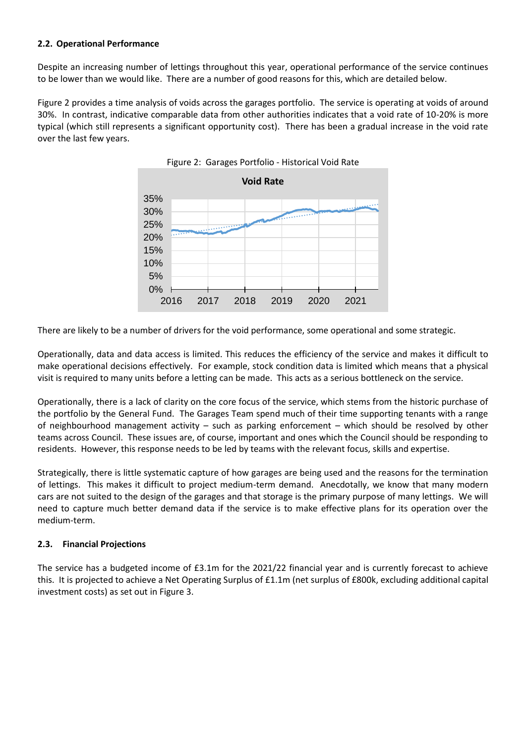## **2.2. Operational Performance**

Despite an increasing number of lettings throughout this year, operational performance of the service continues to be lower than we would like. There are a number of good reasons for this, which are detailed below.

Figure 2 provides a time analysis of voids across the garages portfolio. The service is operating at voids of around 30%. In contrast, indicative comparable data from other authorities indicates that a void rate of 10-20% is more typical (which still represents a significant opportunity cost). There has been a gradual increase in the void rate over the last few years.



Figure 2: Garages Portfolio - Historical Void Rate

There are likely to be a number of drivers for the void performance, some operational and some strategic.

Operationally, data and data access is limited. This reduces the efficiency of the service and makes it difficult to make operational decisions effectively. For example, stock condition data is limited which means that a physical visit is required to many units before a letting can be made. This acts as a serious bottleneck on the service.

Operationally, there is a lack of clarity on the core focus of the service, which stems from the historic purchase of the portfolio by the General Fund. The Garages Team spend much of their time supporting tenants with a range of neighbourhood management activity – such as parking enforcement – which should be resolved by other teams across Council. These issues are, of course, important and ones which the Council should be responding to residents. However, this response needs to be led by teams with the relevant focus, skills and expertise.

Strategically, there is little systematic capture of how garages are being used and the reasons for the termination of lettings. This makes it difficult to project medium-term demand. Anecdotally, we know that many modern cars are not suited to the design of the garages and that storage is the primary purpose of many lettings. We will need to capture much better demand data if the service is to make effective plans for its operation over the medium-term.

## **2.3. Financial Projections**

The service has a budgeted income of £3.1m for the 2021/22 financial year and is currently forecast to achieve this. It is projected to achieve a Net Operating Surplus of £1.1m (net surplus of £800k, excluding additional capital investment costs) as set out in Figure 3.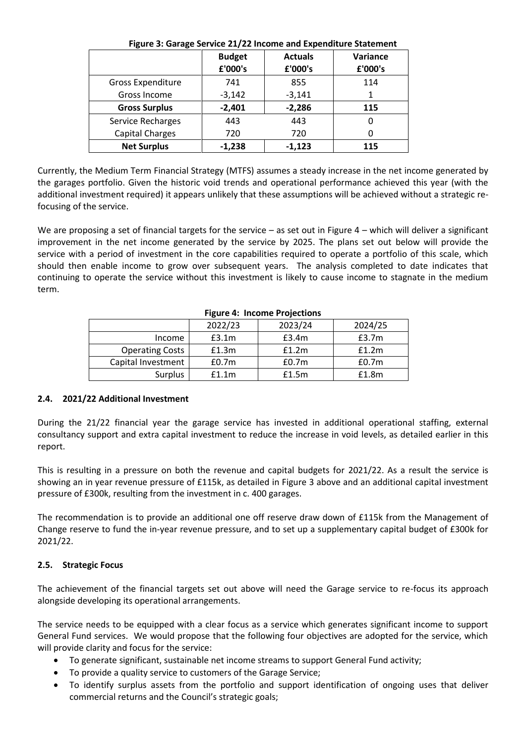| Figure 5: Garage Service 21/22 income and expenditure Statement |               |                |          |  |  |
|-----------------------------------------------------------------|---------------|----------------|----------|--|--|
|                                                                 | <b>Budget</b> | <b>Actuals</b> | Variance |  |  |
|                                                                 | £'000's       | £'000's        | £'000's  |  |  |
| <b>Gross Expenditure</b>                                        | 741           | 855            | 114      |  |  |
| Gross Income                                                    | $-3,142$      | $-3,141$       | 1        |  |  |
| <b>Gross Surplus</b>                                            | $-2,401$      | $-2,286$       | 115      |  |  |
| Service Recharges                                               | 443           | 443            | 0        |  |  |
| Capital Charges                                                 | 720           | 720            |          |  |  |
| <b>Net Surplus</b>                                              | $-1,238$      | $-1,123$       | 115      |  |  |

## **Figure 3: Garage Service 21/22 Income and Expenditure Statement**

Currently, the Medium Term Financial Strategy (MTFS) assumes a steady increase in the net income generated by the garages portfolio. Given the historic void trends and operational performance achieved this year (with the additional investment required) it appears unlikely that these assumptions will be achieved without a strategic refocusing of the service.

We are proposing a set of financial targets for the service – as set out in Figure 4 – which will deliver a significant improvement in the net income generated by the service by 2025. The plans set out below will provide the service with a period of investment in the core capabilities required to operate a portfolio of this scale, which should then enable income to grow over subsequent years. The analysis completed to date indicates that continuing to operate the service without this investment is likely to cause income to stagnate in the medium term.

|                        | 2022/23           | 2023/24           | 2024/25           |
|------------------------|-------------------|-------------------|-------------------|
| Income                 | £3.1m             | £3.4m             | £3.7m             |
| <b>Operating Costs</b> | £1.3m             | f1.2m             | f1.2m             |
| Capital Investment     | £0.7 <sub>m</sub> | £0.7 <sub>m</sub> | £0.7 <sub>m</sub> |
| <b>Surplus</b>         | f1.1m             | £1.5m             | £1.8m             |

#### **Figure 4: Income Projections**

#### **2.4. 2021/22 Additional Investment**

During the 21/22 financial year the garage service has invested in additional operational staffing, external consultancy support and extra capital investment to reduce the increase in void levels, as detailed earlier in this report.

This is resulting in a pressure on both the revenue and capital budgets for 2021/22. As a result the service is showing an in year revenue pressure of £115k, as detailed in Figure 3 above and an additional capital investment pressure of £300k, resulting from the investment in c. 400 garages.

The recommendation is to provide an additional one off reserve draw down of £115k from the Management of Change reserve to fund the in-year revenue pressure, and to set up a supplementary capital budget of £300k for 2021/22.

#### **2.5. Strategic Focus**

The achievement of the financial targets set out above will need the Garage service to re-focus its approach alongside developing its operational arrangements.

The service needs to be equipped with a clear focus as a service which generates significant income to support General Fund services. We would propose that the following four objectives are adopted for the service, which will provide clarity and focus for the service:

- To generate significant, sustainable net income streams to support General Fund activity;
- To provide a quality service to customers of the Garage Service;
- To identify surplus assets from the portfolio and support identification of ongoing uses that deliver commercial returns and the Council's strategic goals;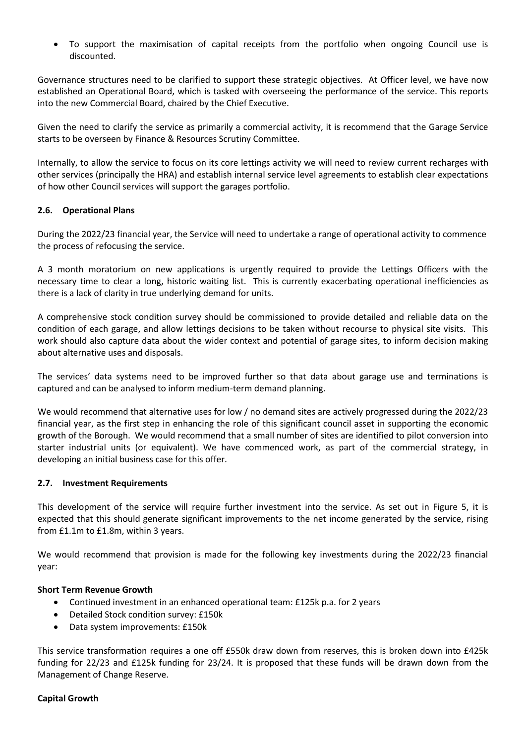To support the maximisation of capital receipts from the portfolio when ongoing Council use is discounted.

Governance structures need to be clarified to support these strategic objectives. At Officer level, we have now established an Operational Board, which is tasked with overseeing the performance of the service. This reports into the new Commercial Board, chaired by the Chief Executive.

Given the need to clarify the service as primarily a commercial activity, it is recommend that the Garage Service starts to be overseen by Finance & Resources Scrutiny Committee.

Internally, to allow the service to focus on its core lettings activity we will need to review current recharges with other services (principally the HRA) and establish internal service level agreements to establish clear expectations of how other Council services will support the garages portfolio.

#### **2.6. Operational Plans**

During the 2022/23 financial year, the Service will need to undertake a range of operational activity to commence the process of refocusing the service.

A 3 month moratorium on new applications is urgently required to provide the Lettings Officers with the necessary time to clear a long, historic waiting list. This is currently exacerbating operational inefficiencies as there is a lack of clarity in true underlying demand for units.

A comprehensive stock condition survey should be commissioned to provide detailed and reliable data on the condition of each garage, and allow lettings decisions to be taken without recourse to physical site visits. This work should also capture data about the wider context and potential of garage sites, to inform decision making about alternative uses and disposals.

The services' data systems need to be improved further so that data about garage use and terminations is captured and can be analysed to inform medium-term demand planning.

We would recommend that alternative uses for low / no demand sites are actively progressed during the 2022/23 financial year, as the first step in enhancing the role of this significant council asset in supporting the economic growth of the Borough. We would recommend that a small number of sites are identified to pilot conversion into starter industrial units (or equivalent). We have commenced work, as part of the commercial strategy, in developing an initial business case for this offer.

#### **2.7. Investment Requirements**

This development of the service will require further investment into the service. As set out in Figure 5, it is expected that this should generate significant improvements to the net income generated by the service, rising from £1.1m to £1.8m, within 3 years.

We would recommend that provision is made for the following key investments during the 2022/23 financial year:

#### **Short Term Revenue Growth**

- Continued investment in an enhanced operational team: £125k p.a. for 2 years
- Detailed Stock condition survey: £150k
- Data system improvements: £150k

This service transformation requires a one off £550k draw down from reserves, this is broken down into £425k funding for 22/23 and £125k funding for 23/24. It is proposed that these funds will be drawn down from the Management of Change Reserve.

#### **Capital Growth**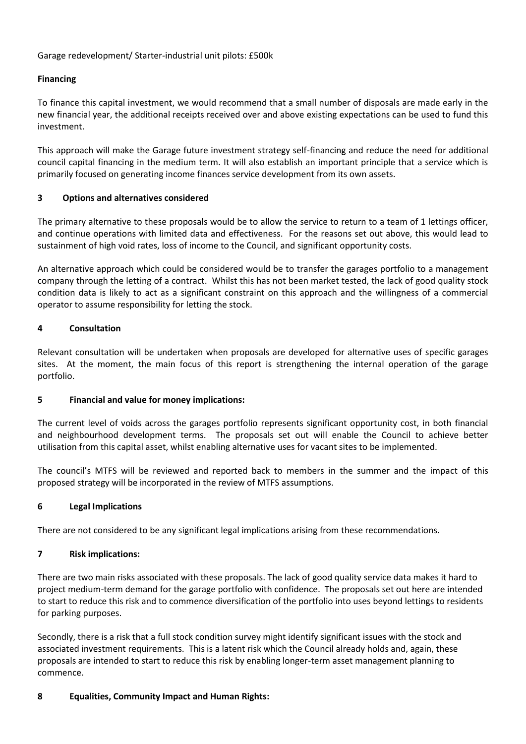Garage redevelopment/ Starter-industrial unit pilots: £500k

## **Financing**

To finance this capital investment, we would recommend that a small number of disposals are made early in the new financial year, the additional receipts received over and above existing expectations can be used to fund this investment.

This approach will make the Garage future investment strategy self-financing and reduce the need for additional council capital financing in the medium term. It will also establish an important principle that a service which is primarily focused on generating income finances service development from its own assets.

#### **3 Options and alternatives considered**

The primary alternative to these proposals would be to allow the service to return to a team of 1 lettings officer, and continue operations with limited data and effectiveness. For the reasons set out above, this would lead to sustainment of high void rates, loss of income to the Council, and significant opportunity costs.

An alternative approach which could be considered would be to transfer the garages portfolio to a management company through the letting of a contract. Whilst this has not been market tested, the lack of good quality stock condition data is likely to act as a significant constraint on this approach and the willingness of a commercial operator to assume responsibility for letting the stock.

#### **4 Consultation**

Relevant consultation will be undertaken when proposals are developed for alternative uses of specific garages sites. At the moment, the main focus of this report is strengthening the internal operation of the garage portfolio.

#### **5 Financial and value for money implications:**

The current level of voids across the garages portfolio represents significant opportunity cost, in both financial and neighbourhood development terms. The proposals set out will enable the Council to achieve better utilisation from this capital asset, whilst enabling alternative uses for vacant sites to be implemented.

The council's MTFS will be reviewed and reported back to members in the summer and the impact of this proposed strategy will be incorporated in the review of MTFS assumptions.

#### **6 Legal Implications**

There are not considered to be any significant legal implications arising from these recommendations.

#### **7 Risk implications:**

There are two main risks associated with these proposals. The lack of good quality service data makes it hard to project medium-term demand for the garage portfolio with confidence. The proposals set out here are intended to start to reduce this risk and to commence diversification of the portfolio into uses beyond lettings to residents for parking purposes.

Secondly, there is a risk that a full stock condition survey might identify significant issues with the stock and associated investment requirements. This is a latent risk which the Council already holds and, again, these proposals are intended to start to reduce this risk by enabling longer-term asset management planning to commence.

#### **8 Equalities, Community Impact and Human Rights:**